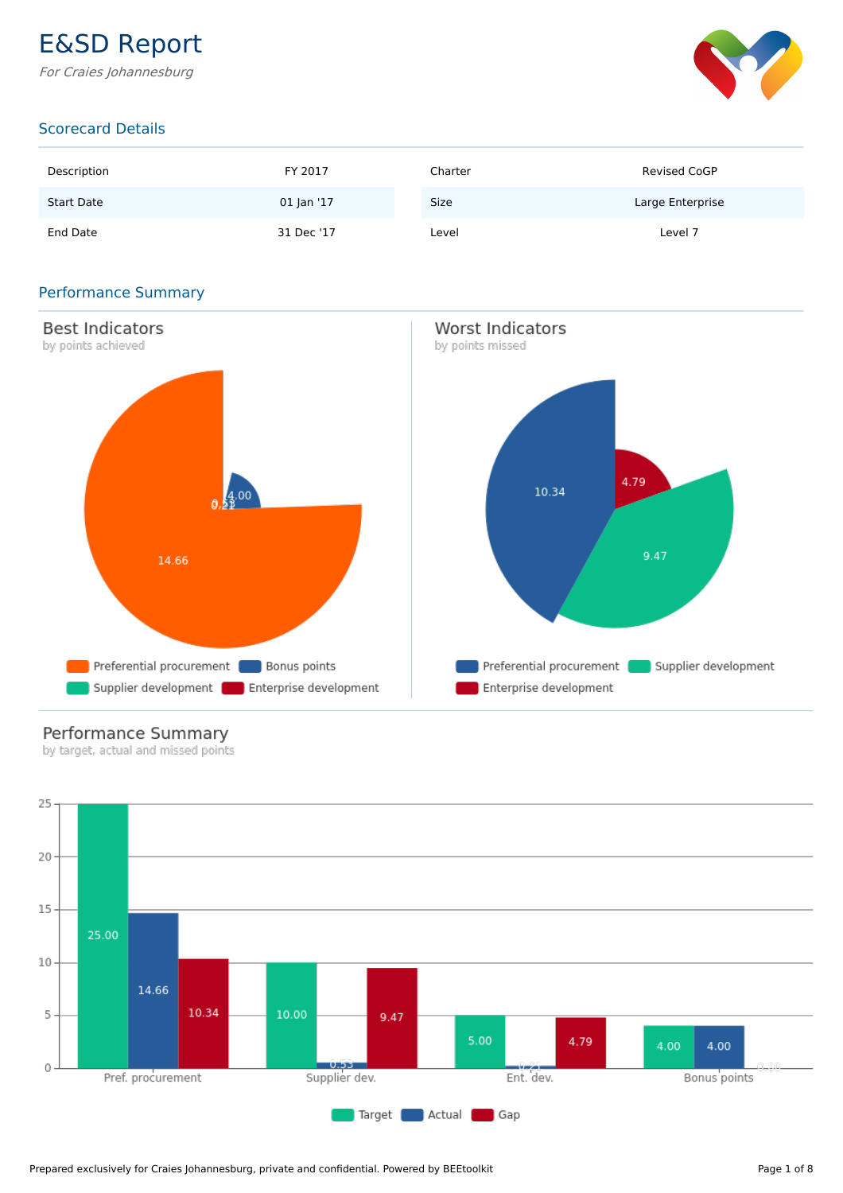### E&SD Report

For Craies Johannesburg



#### Scorecard Details

| Description       | FY 2017    | Charter     | <b>Revised CoGP</b> |
|-------------------|------------|-------------|---------------------|
| <b>Start Date</b> | 01 Jan '17 | <b>Size</b> | Large Enterprise    |
| End Date          | 31 Dec '17 | Level       | Level 7             |

#### Performance Summary



#### Performance Summary

by target, actual and missed points

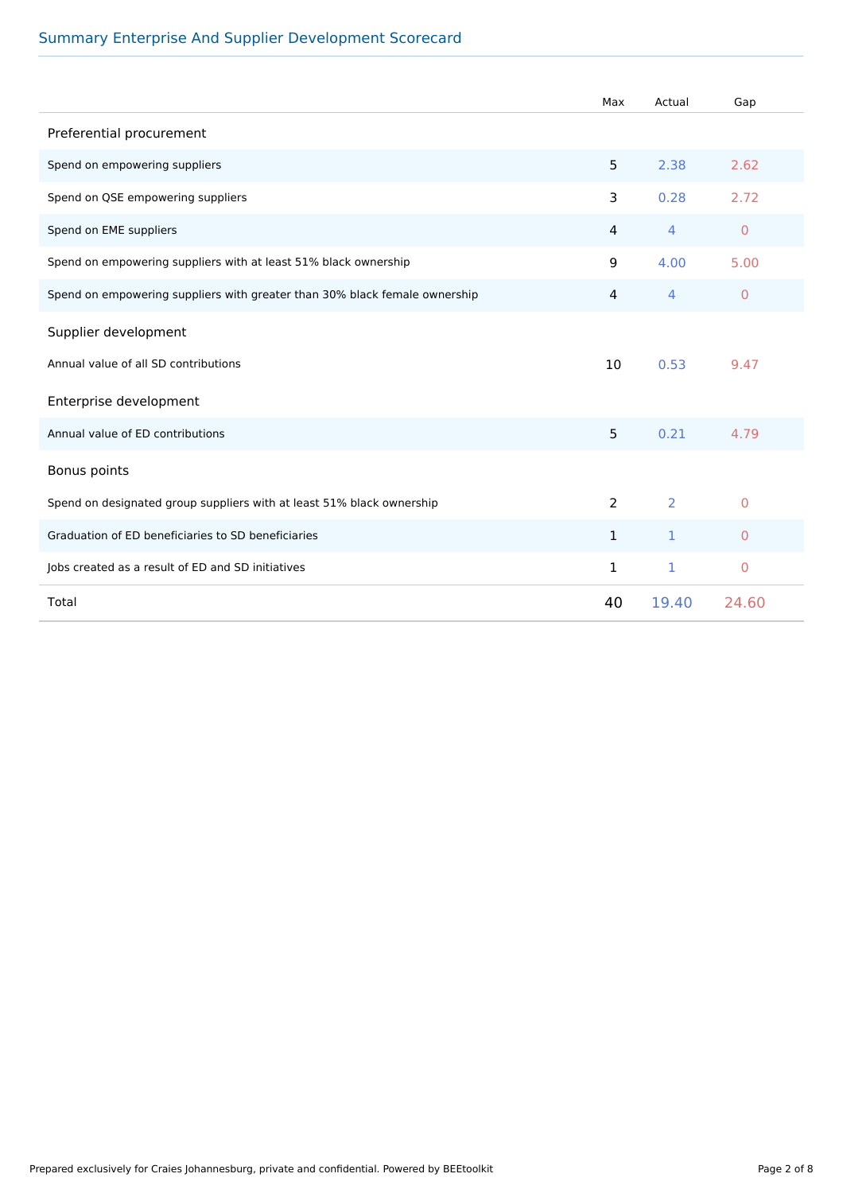#### Summary Enterprise And Supplier Development Scorecard

|                                                                            | Max            | Actual | Gap                 |
|----------------------------------------------------------------------------|----------------|--------|---------------------|
| Preferential procurement                                                   |                |        |                     |
| Spend on empowering suppliers                                              | 5              | 2.38   | 2.62                |
| Spend on QSE empowering suppliers                                          | 3              | 0.28   | 2.72                |
| Spend on EME suppliers                                                     | $\overline{4}$ | 4      | $\mathbf{0}$        |
| Spend on empowering suppliers with at least 51% black ownership            | 9              | 4.00   | 5.00                |
| Spend on empowering suppliers with greater than 30% black female ownership | $\overline{4}$ | 4      | $\mathbf{0}$        |
| Supplier development                                                       |                |        |                     |
| Annual value of all SD contributions                                       | 10             | 0.53   | 9.47                |
| Enterprise development                                                     |                |        |                     |
| Annual value of ED contributions                                           | 5              | 0.21   | 4.79                |
| Bonus points                                                               |                |        |                     |
| Spend on designated group suppliers with at least 51% black ownership      | 2              | 2      | $\Omega$            |
| Graduation of ED beneficiaries to SD beneficiaries                         | $\mathbf{1}$   | 1      | $\overline{0}$      |
| Jobs created as a result of ED and SD initiatives                          | $\mathbf{1}$   | 1      | $\mathsf{O}\xspace$ |
| Total                                                                      | 40             | 19.40  | 24.60               |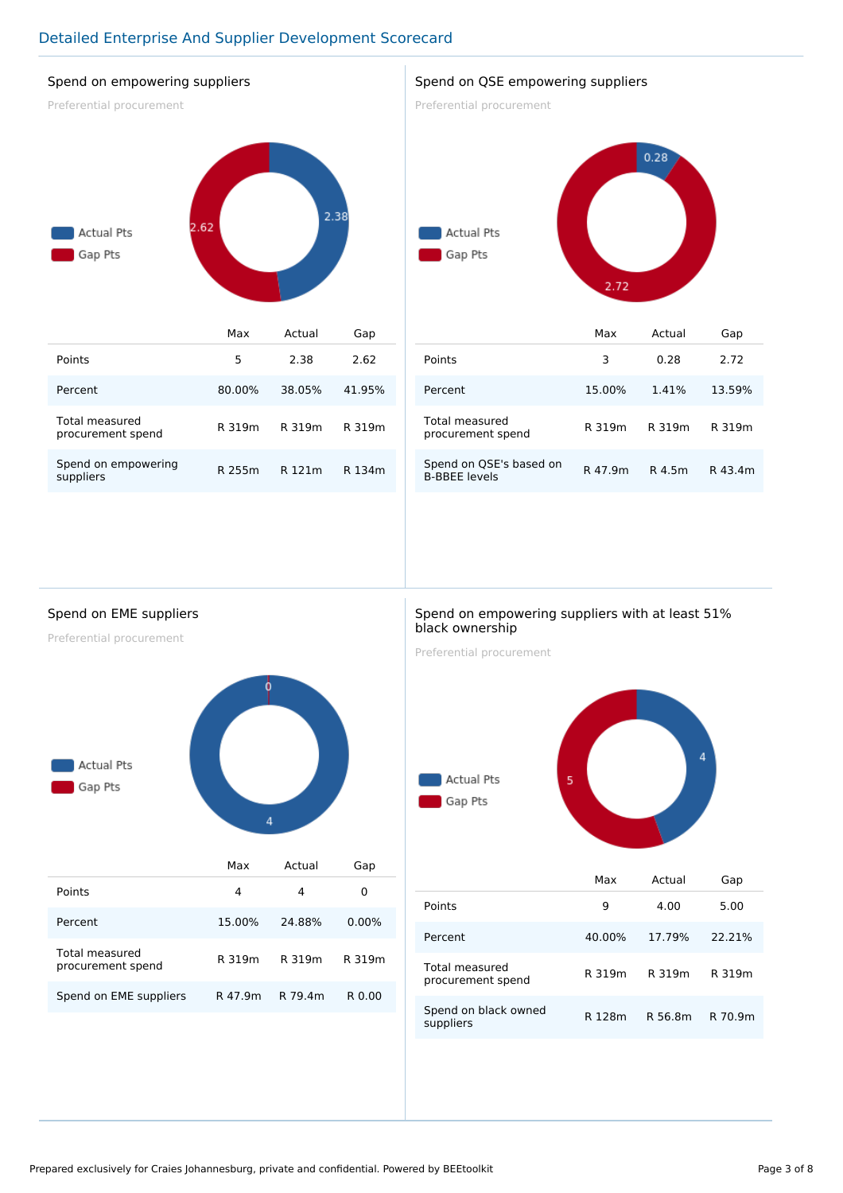#### Detailed Enterprise And Supplier Development Scorecard

#### Spend on empowering suppliers

Preferential procurement



| Points                              | 5      | 2.38   | 2.62   |
|-------------------------------------|--------|--------|--------|
| Percent                             | 80.00% | 38.05% | 41.95% |
| Total measured<br>procurement spend | R 319m | R 319m | R 319m |
| Spend on empowering<br>suppliers    | R 255m | R 121m | R 134m |

#### Spend on QSE empowering suppliers

Preferential procurement



|                                                 | Max     | Actual | Gap     |
|-------------------------------------------------|---------|--------|---------|
| Points                                          | 3       | 0.28   | 2.72    |
| Percent                                         | 15.00%  | 1.41%  | 13.59%  |
| <b>Total measured</b><br>procurement spend      | R 319m  | R 319m | R 319m  |
| Spend on QSE's based on<br><b>B-BBEE levels</b> | R 47.9m | R 4.5m | R 43.4m |

#### Spend on EME suppliers

Preferential procurement



|                                     | Max     | Actual  | Gap      |
|-------------------------------------|---------|---------|----------|
| Points                              | 4       | 4       | 0        |
| Percent                             | 15.00%  | 24.88%  | $0.00\%$ |
| Total measured<br>procurement spend | R 319m  | R 319m  | R 319m   |
| Spend on EME suppliers              | R 47.9m | R 79.4m | R 0.00   |

#### Spend on empowering suppliers with at least 51% black ownership

Preferential procurement



|                                     | Max    | Actual  | Gap     |
|-------------------------------------|--------|---------|---------|
| Points                              | 9      | 4.00    | 5.00    |
| Percent                             | 40.00% | 17.79%  | 22.21%  |
| Total measured<br>procurement spend | R 319m | R 319m  | R 319m  |
| Spend on black owned<br>suppliers   | R 128m | R 56.8m | R 70.9m |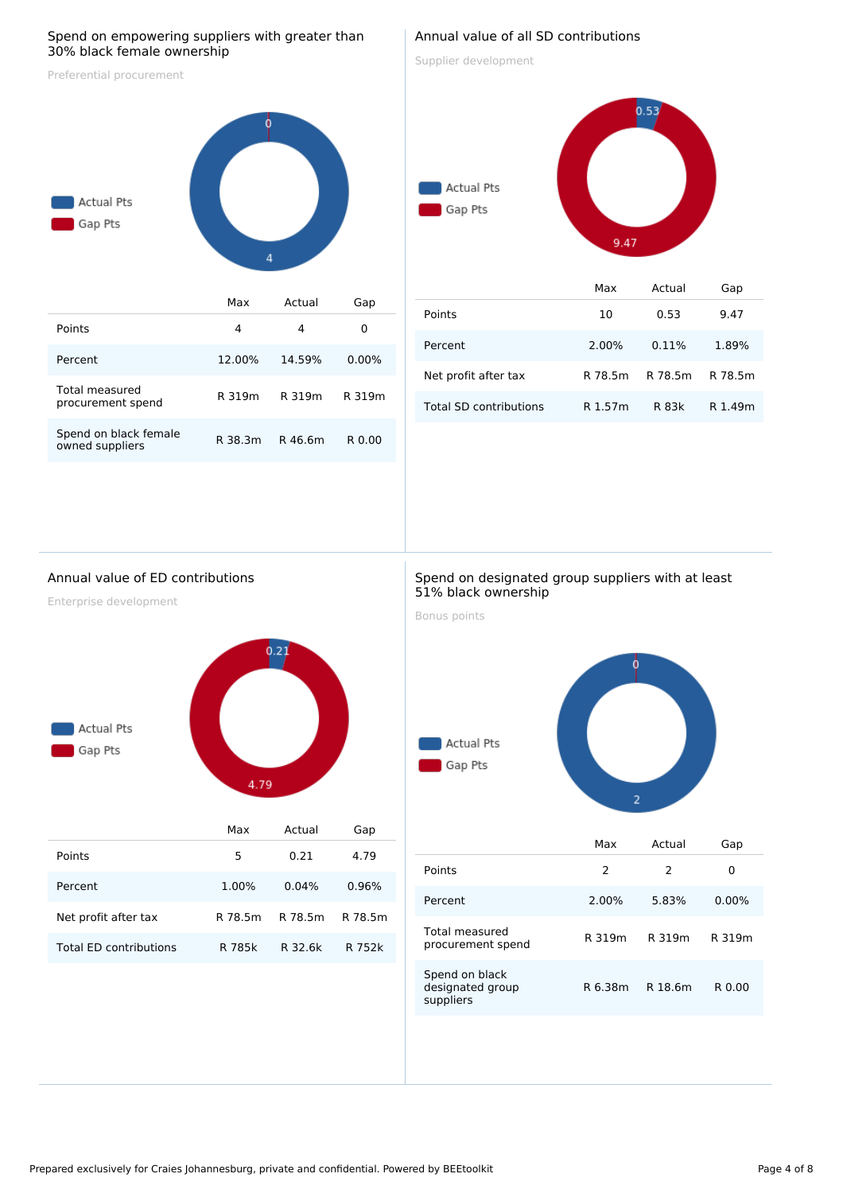#### Spend on empowering suppliers with greater than 30% black female ownership

Preferential procurement



| Points                                   | 4       | 4       |          |
|------------------------------------------|---------|---------|----------|
| Percent                                  | 12.00%  | 14.59%  | $0.00\%$ |
| Total measured<br>procurement spend      | R 319m  | R 319m  | R 319m   |
| Spend on black female<br>owned suppliers | R 38.3m | R 46.6m | R 0.00   |

#### Annual value of all SD contributions

Supplier development

Gap Pts

# $0.53$



|                        | Max     | Actual  | Gap     |
|------------------------|---------|---------|---------|
| Points                 | 10      | 0.53    | 9.47    |
| Percent                | 2.00%   | 0.11%   | 1.89%   |
| Net profit after tax   | R 78.5m | R 78.5m | R 78.5m |
| Total SD contributions | R 1.57m | R 83k   | R 1.49m |

#### Annual value of ED contributions

Enterprise development



|                        | Max     | Actual  | Gap     |
|------------------------|---------|---------|---------|
| Points                 | 5       | 0.21    | 4.79    |
| Percent                | 1.00%   | 0.04%   | 0.96%   |
| Net profit after tax   | R 78.5m | R 78.5m | R 78.5m |
| Total FD contributions | R 785k  | R 32.6k | R 752k  |

#### Spend on designated group suppliers with at least 51% black ownership

Bonus points



|                                                 | Max     | Actual  | Gap      |
|-------------------------------------------------|---------|---------|----------|
| Points                                          | 2       | 2       | 0        |
| Percent                                         | 2.00%   | 5.83%   | $0.00\%$ |
| Total measured<br>procurement spend             | R 319m  | R 319m  | R 319m   |
| Spend on black<br>designated group<br>suppliers | R 6.38m | R 18.6m | R 0.00   |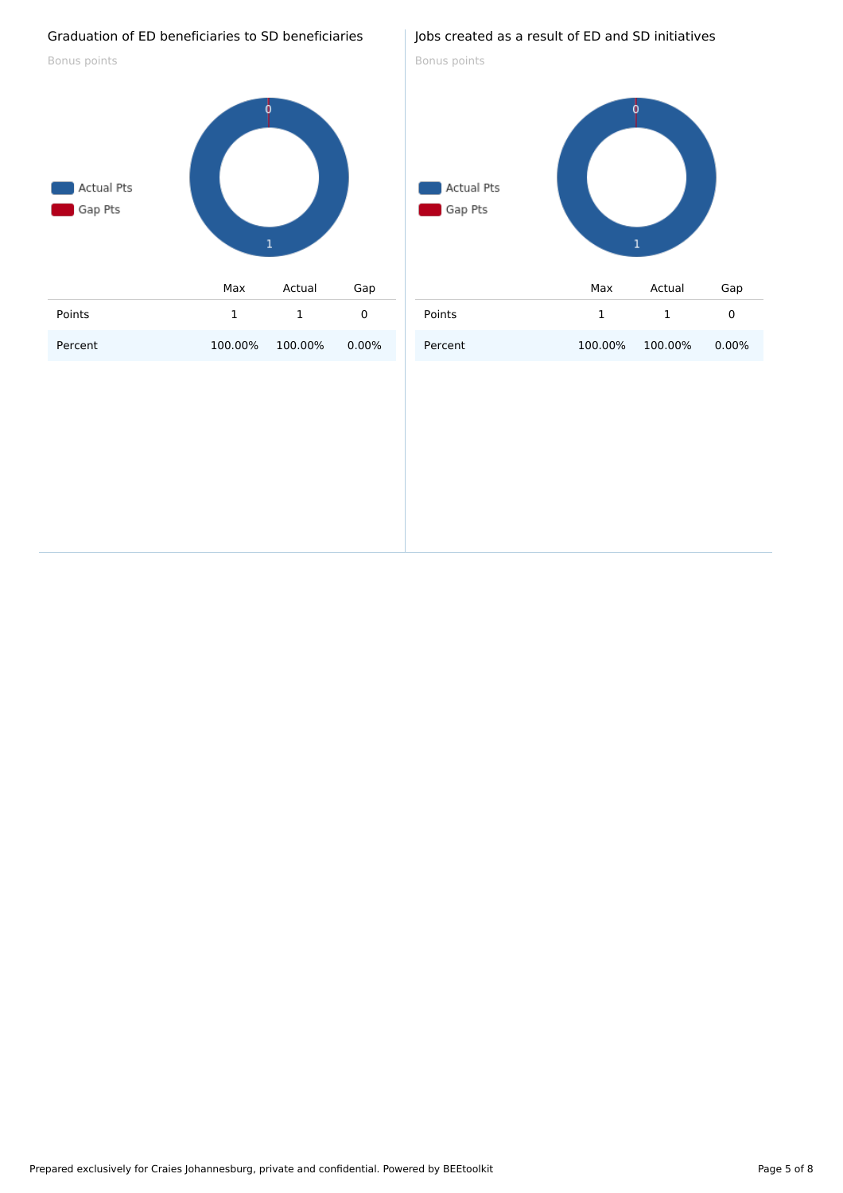#### Graduation of ED beneficiaries to SD beneficiaries

Bonus points



#### Jobs created as a result of ED and SD initiatives

Bonus points

## Actual Pts Gap Pts  $\mathbf{1}$ Max Actual Gap Points 1 1 0 Percent 100.00% 100.00% 0.00%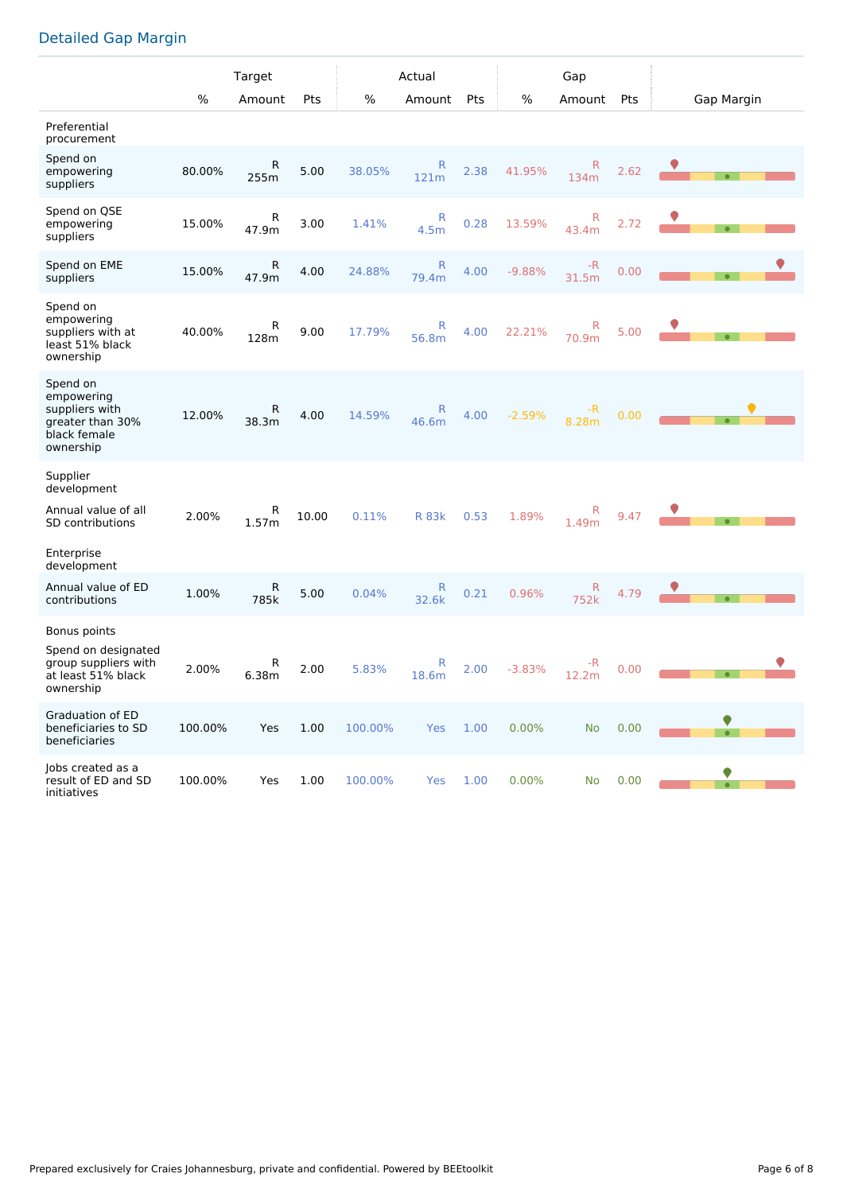#### Detailed Gap Margin

|                                                                                                        |         | Target     |       |         | Actual                |      |          | Gap                  |      |            |
|--------------------------------------------------------------------------------------------------------|---------|------------|-------|---------|-----------------------|------|----------|----------------------|------|------------|
|                                                                                                        | %       | Amount     | Pts   | %       | Amount                | Pts  | %        | Amount               | Pts  | Gap Margin |
| Preferential<br>procurement                                                                            |         |            |       |         |                       |      |          |                      |      |            |
| Spend on<br>empowering<br>suppliers                                                                    | 80.00%  | R<br>255m  | 5.00  | 38.05%  | R<br>121m             | 2.38 | 41.95%   | R<br>134m            | 2.62 | $\bullet$  |
| Spend on QSE<br>empowering<br>suppliers                                                                | 15.00%  | R<br>47.9m | 3.00  | 1.41%   | R<br>4.5 <sub>m</sub> | 0.28 | 13.59%   | R<br>43.4m           | 2.72 |            |
| Spend on EME<br>suppliers                                                                              | 15.00%  | R<br>47.9m | 4.00  | 24.88%  | R<br>79.4m            | 4.00 | $-9.88%$ | -R<br>31.5m          | 0.00 |            |
| Spend on<br>empowering<br>suppliers with at<br>least 51% black<br>ownership                            | 40.00%  | R<br>128m  | 9.00  | 17.79%  | R<br>56.8m            | 4.00 | 22.21%   | R<br>70.9m           | 5.00 |            |
| Spend on<br>empowering<br>suppliers with<br>greater than 30%<br>black female<br>ownership              | 12.00%  | R<br>38.3m | 4.00  | 14.59%  | R<br>46.6m            | 4.00 | $-2.59%$ | -R<br>8.28m          | 0.00 |            |
| Supplier<br>development<br>Annual value of all<br><b>SD</b> contributions<br>Enterprise<br>development | 2.00%   | R<br>1.57m | 10.00 | 0.11%   | <b>R</b> 83k          | 0.53 | 1.89%    | R<br>1.49m           | 9.47 |            |
| Annual value of ED<br>contributions                                                                    | 1.00%   | R<br>785k  | 5.00  | 0.04%   | R<br>32.6k            | 0.21 | 0.96%    | $\mathsf{R}$<br>752k | 4.79 |            |
| Bonus points<br>Spend on designated<br>group suppliers with<br>at least 51% black<br>ownership         | 2.00%   | R<br>6.38m | 2.00  | 5.83%   | R<br>18.6m            | 2.00 | $-3.83%$ | -R<br>12.2m          | 0.00 |            |
| <b>Graduation of ED</b><br>beneficiaries to SD<br>beneficiaries                                        | 100.00% | Yes        | 1.00  | 100.00% | Yes                   | 1.00 | 0.00%    | <b>No</b>            | 0.00 |            |
| Jobs created as a<br>result of ED and SD<br>initiatives                                                | 100.00% | Yes        | 1.00  | 100.00% | Yes                   | 1.00 | 0.00%    | No                   | 0.00 |            |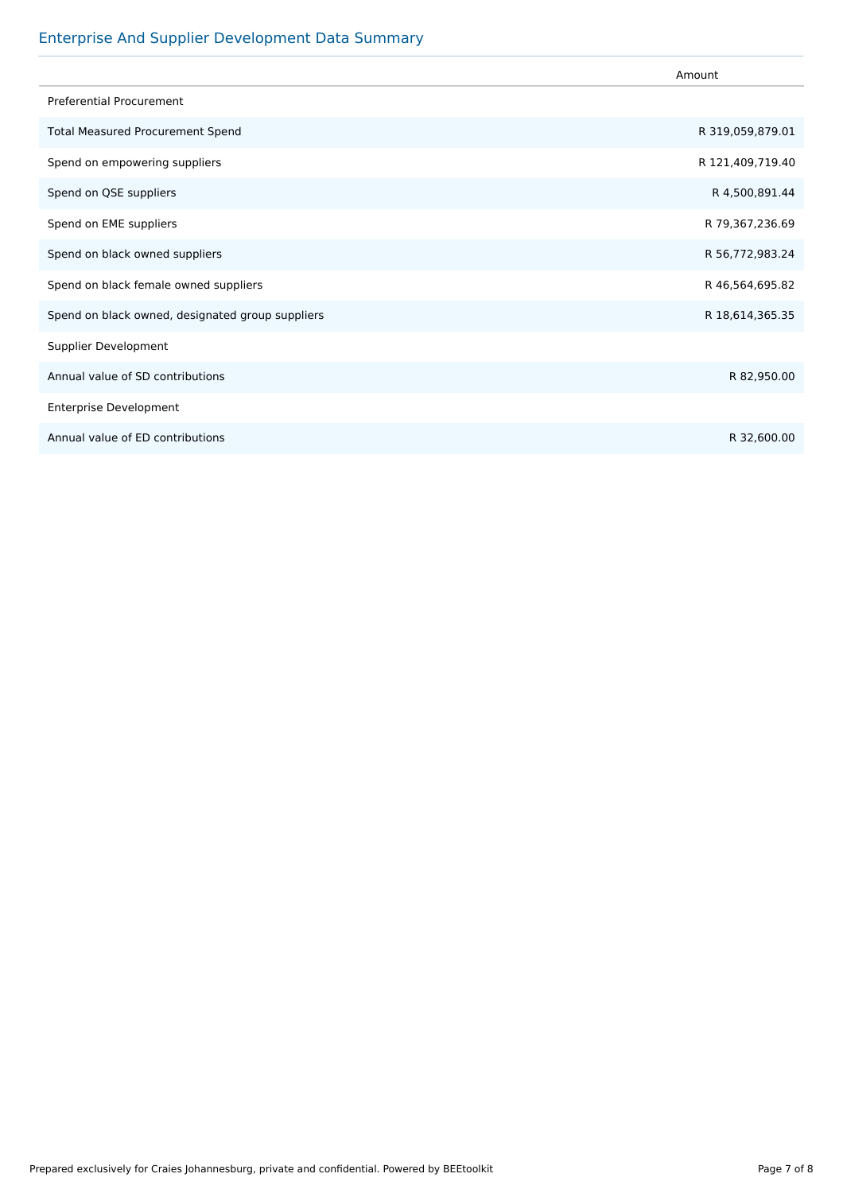#### Enterprise And Supplier Development Data Summary

|                                                  | Amount           |
|--------------------------------------------------|------------------|
| <b>Preferential Procurement</b>                  |                  |
| <b>Total Measured Procurement Spend</b>          | R 319,059,879.01 |
| Spend on empowering suppliers                    | R 121,409,719.40 |
| Spend on QSE suppliers                           | R 4,500,891.44   |
| Spend on EME suppliers                           | R 79,367,236.69  |
| Spend on black owned suppliers                   | R 56,772,983.24  |
| Spend on black female owned suppliers            | R 46,564,695.82  |
| Spend on black owned, designated group suppliers | R 18,614,365.35  |
| Supplier Development                             |                  |
| Annual value of SD contributions                 | R 82,950.00      |
| <b>Enterprise Development</b>                    |                  |
| Annual value of ED contributions                 | R 32,600.00      |